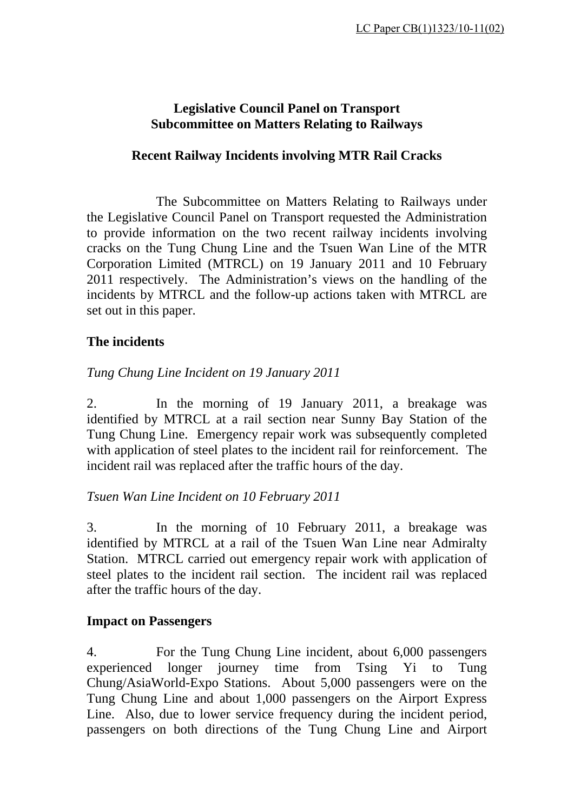#### **Legislative Council Panel on Transport Subcommittee on Matters Relating to Railways**

#### **Recent Railway Incidents involving MTR Rail Cracks**

 The Subcommittee on Matters Relating to Railways under the Legislative Council Panel on Transport requested the Administration to provide information on the two recent railway incidents involving cracks on the Tung Chung Line and the Tsuen Wan Line of the MTR Corporation Limited (MTRCL) on 19 January 2011 and 10 February 2011 respectively. The Administration's views on the handling of the incidents by MTRCL and the follow-up actions taken with MTRCL are set out in this paper.

#### **The incidents**

#### *Tung Chung Line Incident on 19 January 2011*

2. In the morning of 19 January 2011, a breakage was identified by MTRCL at a rail section near Sunny Bay Station of the Tung Chung Line. Emergency repair work was subsequently completed with application of steel plates to the incident rail for reinforcement. The incident rail was replaced after the traffic hours of the day.

#### *Tsuen Wan Line Incident on 10 February 2011*

3. In the morning of 10 February 2011, a breakage was identified by MTRCL at a rail of the Tsuen Wan Line near Admiralty Station. MTRCL carried out emergency repair work with application of steel plates to the incident rail section. The incident rail was replaced after the traffic hours of the day.

#### **Impact on Passengers**

4. For the Tung Chung Line incident, about 6,000 passengers experienced longer journey time from Tsing Yi to Tung Chung/AsiaWorld-Expo Stations. About 5,000 passengers were on the Tung Chung Line and about 1,000 passengers on the Airport Express Line. Also, due to lower service frequency during the incident period, passengers on both directions of the Tung Chung Line and Airport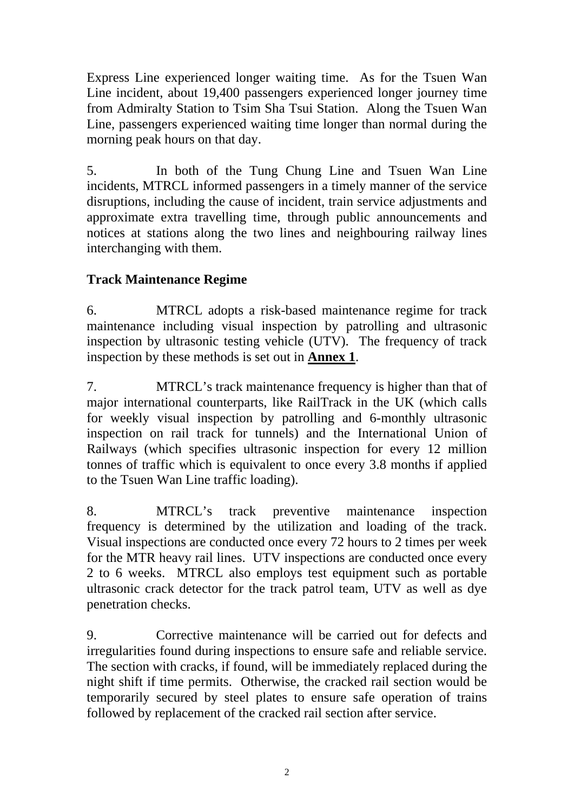Express Line experienced longer waiting time. As for the Tsuen Wan Line incident, about 19,400 passengers experienced longer journey time from Admiralty Station to Tsim Sha Tsui Station. Along the Tsuen Wan Line, passengers experienced waiting time longer than normal during the morning peak hours on that day.

5. In both of the Tung Chung Line and Tsuen Wan Line incidents, MTRCL informed passengers in a timely manner of the service disruptions, including the cause of incident, train service adjustments and approximate extra travelling time, through public announcements and notices at stations along the two lines and neighbouring railway lines interchanging with them.

### **Track Maintenance Regime**

6. MTRCL adopts a risk-based maintenance regime for track maintenance including visual inspection by patrolling and ultrasonic inspection by ultrasonic testing vehicle (UTV). The frequency of track inspection by these methods is set out in **Annex 1**.

7. MTRCL's track maintenance frequency is higher than that of major international counterparts, like RailTrack in the UK (which calls for weekly visual inspection by patrolling and 6-monthly ultrasonic inspection on rail track for tunnels) and the International Union of Railways (which specifies ultrasonic inspection for every 12 million tonnes of traffic which is equivalent to once every 3.8 months if applied to the Tsuen Wan Line traffic loading).

8. MTRCL's track preventive maintenance inspection frequency is determined by the utilization and loading of the track. Visual inspections are conducted once every 72 hours to 2 times per week for the MTR heavy rail lines. UTV inspections are conducted once every 2 to 6 weeks. MTRCL also employs test equipment such as portable ultrasonic crack detector for the track patrol team, UTV as well as dye penetration checks.

9. Corrective maintenance will be carried out for defects and irregularities found during inspections to ensure safe and reliable service. The section with cracks, if found, will be immediately replaced during the night shift if time permits. Otherwise, the cracked rail section would be temporarily secured by steel plates to ensure safe operation of trains followed by replacement of the cracked rail section after service.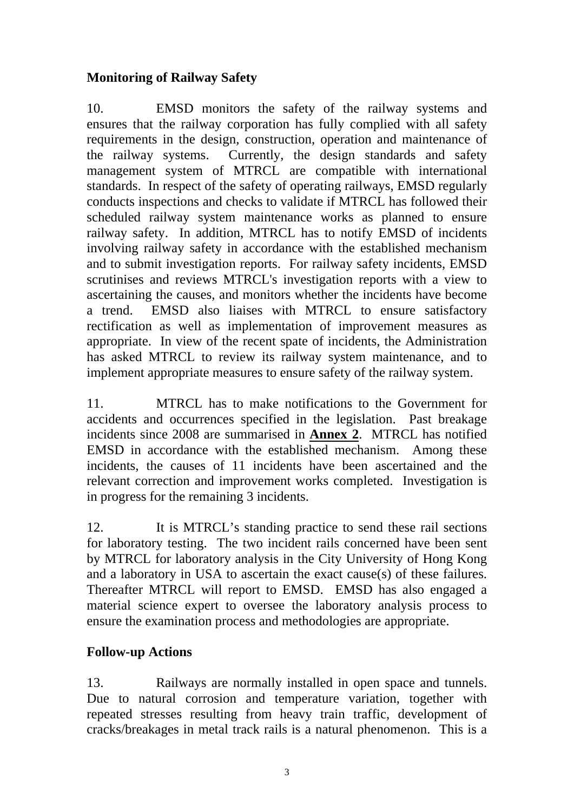### **Monitoring of Railway Safety**

10. EMSD monitors the safety of the railway systems and ensures that the railway corporation has fully complied with all safety requirements in the design, construction, operation and maintenance of the railway systems. Currently, the design standards and safety management system of MTRCL are compatible with international standards. In respect of the safety of operating railways, EMSD regularly conducts inspections and checks to validate if MTRCL has followed their scheduled railway system maintenance works as planned to ensure railway safety. In addition, MTRCL has to notify EMSD of incidents involving railway safety in accordance with the established mechanism and to submit investigation reports. For railway safety incidents, EMSD scrutinises and reviews MTRCL's investigation reports with a view to ascertaining the causes, and monitors whether the incidents have become a trend. EMSD also liaises with MTRCL to ensure satisfactory rectification as well as implementation of improvement measures as appropriate. In view of the recent spate of incidents, the Administration has asked MTRCL to review its railway system maintenance, and to implement appropriate measures to ensure safety of the railway system.

11. MTRCL has to make notifications to the Government for accidents and occurrences specified in the legislation. Past breakage incidents since 2008 are summarised in **Annex 2**. MTRCL has notified EMSD in accordance with the established mechanism. Among these incidents, the causes of 11 incidents have been ascertained and the relevant correction and improvement works completed. Investigation is in progress for the remaining 3 incidents.

12. It is MTRCL's standing practice to send these rail sections for laboratory testing. The two incident rails concerned have been sent by MTRCL for laboratory analysis in the City University of Hong Kong and a laboratory in USA to ascertain the exact cause(s) of these failures. Thereafter MTRCL will report to EMSD. EMSD has also engaged a material science expert to oversee the laboratory analysis process to ensure the examination process and methodologies are appropriate.

#### **Follow-up Actions**

13. Railways are normally installed in open space and tunnels. Due to natural corrosion and temperature variation, together with repeated stresses resulting from heavy train traffic, development of cracks/breakages in metal track rails is a natural phenomenon. This is a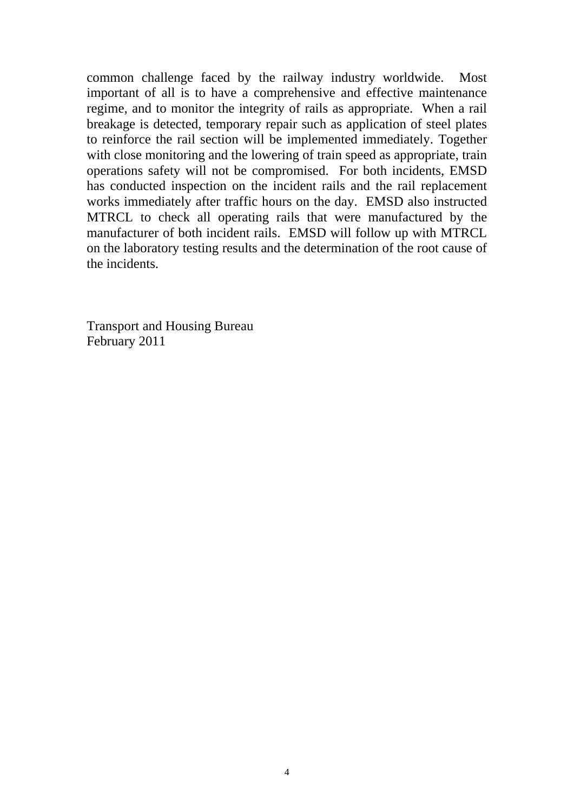common challenge faced by the railway industry worldwide. Most important of all is to have a comprehensive and effective maintenance regime, and to monitor the integrity of rails as appropriate. When a rail breakage is detected, temporary repair such as application of steel plates to reinforce the rail section will be implemented immediately. Together with close monitoring and the lowering of train speed as appropriate, train operations safety will not be compromised. For both incidents, EMSD has conducted inspection on the incident rails and the rail replacement works immediately after traffic hours on the day. EMSD also instructed MTRCL to check all operating rails that were manufactured by the manufacturer of both incident rails. EMSD will follow up with MTRCL on the laboratory testing results and the determination of the root cause of the incidents.

Transport and Housing Bureau February 2011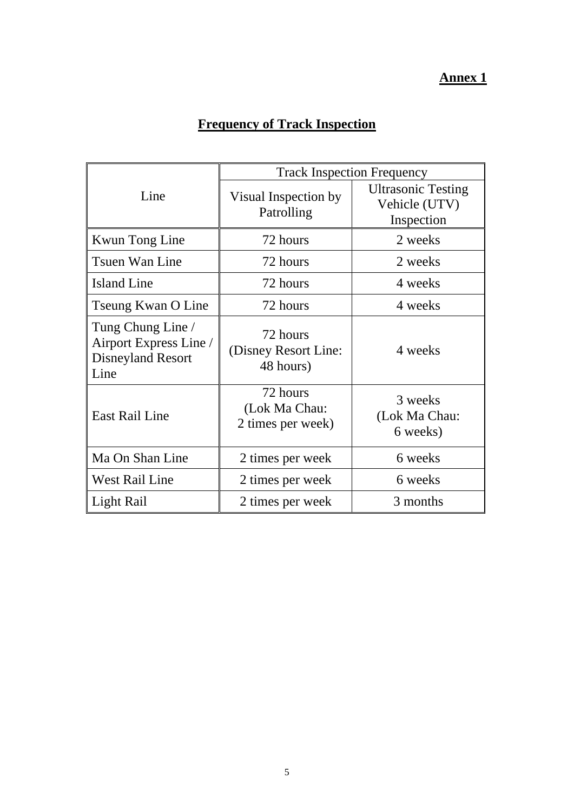### **Annex 1**

# **Frequency of Track Inspection**

|                                                                                 | <b>Track Inspection Frequency</b>              |                                                          |  |
|---------------------------------------------------------------------------------|------------------------------------------------|----------------------------------------------------------|--|
| Line                                                                            | Visual Inspection by<br>Patrolling             | <b>Ultrasonic Testing</b><br>Vehicle (UTV)<br>Inspection |  |
| Kwun Tong Line                                                                  | 72 hours                                       | 2 weeks                                                  |  |
| <b>T</b> suen Wan Line                                                          | 72 hours                                       |                                                          |  |
| <b>Island Line</b>                                                              | 72 hours                                       | 4 weeks                                                  |  |
| Tseung Kwan O Line                                                              | 72 hours                                       | 4 weeks                                                  |  |
| Tung Chung Line /<br>Airport Express Line /<br><b>Disneyland Resort</b><br>Line | 72 hours<br>(Disney Resort Line:<br>48 hours)  | 4 weeks                                                  |  |
| <b>East Rail Line</b>                                                           | 72 hours<br>(Lok Ma Chau:<br>2 times per week) | 3 weeks<br>(Lok Ma Chau:<br>6 weeks)                     |  |
| Ma On Shan Line                                                                 | 2 times per week                               | 6 weeks                                                  |  |
| <b>West Rail Line</b>                                                           | 2 times per week                               | 6 weeks                                                  |  |
| Light Rail                                                                      | 2 times per week                               | 3 months                                                 |  |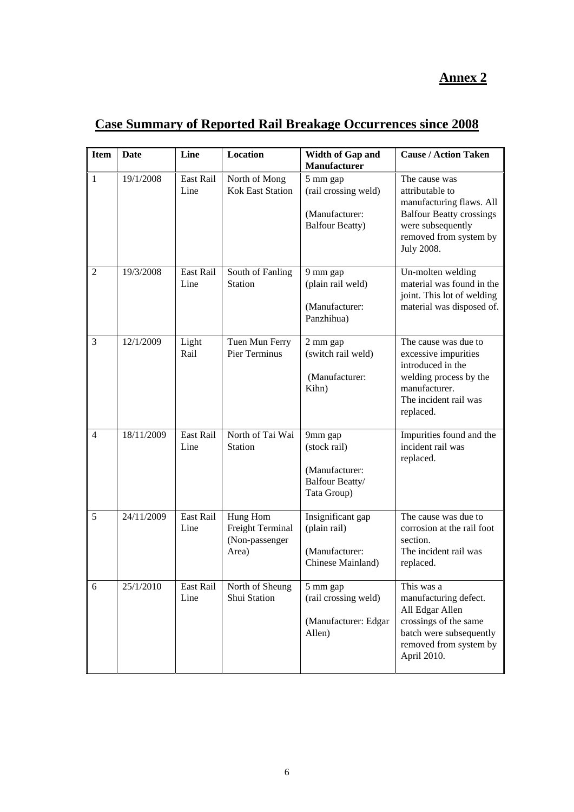## **Annex 2**

| <b>Item</b>    | Date       | Line              | Location                                                | Width of Gap and<br>Manufacturer                                             | <b>Cause / Action Taken</b>                                                                                                                                         |
|----------------|------------|-------------------|---------------------------------------------------------|------------------------------------------------------------------------------|---------------------------------------------------------------------------------------------------------------------------------------------------------------------|
| $\mathbf{1}$   | 19/1/2008  | East Rail<br>Line | North of Mong<br><b>Kok East Station</b>                | 5 mm gap<br>(rail crossing weld)<br>(Manufacturer:<br><b>Balfour Beatty)</b> | The cause was<br>attributable to<br>manufacturing flaws. All<br><b>Balfour Beatty crossings</b><br>were subsequently<br>removed from system by<br><b>July 2008.</b> |
| $\overline{c}$ | 19/3/2008  | East Rail<br>Line | South of Fanling<br>Station                             | 9 mm gap<br>(plain rail weld)<br>(Manufacturer:<br>Panzhihua)                | Un-molten welding<br>material was found in the<br>joint. This lot of welding<br>material was disposed of.                                                           |
| 3              | 12/1/2009  | Light<br>Rail     | Tuen Mun Ferry<br>Pier Terminus                         | 2 mm gap<br>(switch rail weld)<br>(Manufacturer:<br>Kihn)                    | The cause was due to<br>excessive impurities<br>introduced in the<br>welding process by the<br>manufacturer.<br>The incident rail was<br>replaced.                  |
| $\overline{4}$ | 18/11/2009 | East Rail<br>Line | North of Tai Wai<br>Station                             | 9mm gap<br>(stock rail)<br>(Manufacturer:<br>Balfour Beatty/<br>Tata Group)  | Impurities found and the<br>incident rail was<br>replaced.                                                                                                          |
| 5              | 24/11/2009 | East Rail<br>Line | Hung Hom<br>Freight Terminal<br>(Non-passenger<br>Area) | Insignificant gap<br>(plain rail)<br>(Manufacturer:<br>Chinese Mainland)     | The cause was due to<br>corrosion at the rail foot<br>section.<br>The incident rail was<br>replaced.                                                                |
| 6              | 25/1/2010  | East Rail<br>Line | North of Sheung<br>Shui Station                         | 5 mm gap<br>(rail crossing weld)<br>(Manufacturer: Edgar<br>Allen)           | This was a<br>manufacturing defect.<br>All Edgar Allen<br>crossings of the same<br>batch were subsequently<br>removed from system by<br>April 2010.                 |

## **Case Summary of Reported Rail Breakage Occurrences since 2008**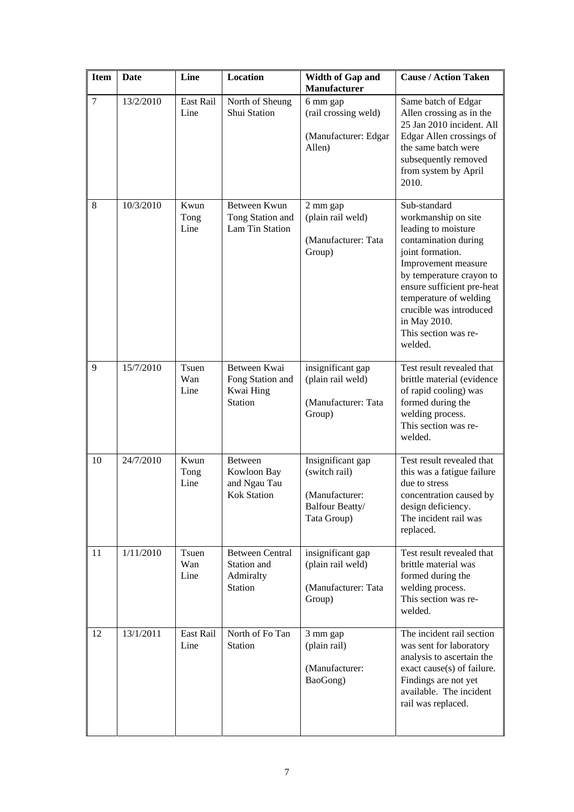| <b>Item</b>    | Date      | Line                 | Location                                                             | Width of Gap and<br>Manufacturer                                                       | <b>Cause / Action Taken</b>                                                                                                                                                                                                                                                                     |
|----------------|-----------|----------------------|----------------------------------------------------------------------|----------------------------------------------------------------------------------------|-------------------------------------------------------------------------------------------------------------------------------------------------------------------------------------------------------------------------------------------------------------------------------------------------|
| $\overline{7}$ | 13/2/2010 | East Rail<br>Line    | North of Sheung<br>Shui Station                                      | 6 mm gap<br>(rail crossing weld)<br>(Manufacturer: Edgar<br>Allen)                     | Same batch of Edgar<br>Allen crossing as in the<br>25 Jan 2010 incident. All<br>Edgar Allen crossings of<br>the same batch were<br>subsequently removed<br>from system by April<br>2010.                                                                                                        |
| 8              | 10/3/2010 | Kwun<br>Tong<br>Line | Between Kwun<br>Tong Station and<br>Lam Tin Station                  | 2 mm gap<br>(plain rail weld)<br>(Manufacturer: Tata<br>Group)                         | Sub-standard<br>workmanship on site<br>leading to moisture<br>contamination during<br>joint formation.<br>Improvement measure<br>by temperature crayon to<br>ensure sufficient pre-heat<br>temperature of welding<br>crucible was introduced<br>in May 2010.<br>This section was re-<br>welded. |
| 9              | 15/7/2010 | Tsuen<br>Wan<br>Line | Between Kwai<br>Fong Station and<br>Kwai Hing<br><b>Station</b>      | insignificant gap<br>(plain rail weld)<br>(Manufacturer: Tata<br>Group)                | Test result revealed that<br>brittle material (evidence<br>of rapid cooling) was<br>formed during the<br>welding process.<br>This section was re-<br>welded.                                                                                                                                    |
| 10             | 24/7/2010 | Kwun<br>Tong<br>Line | <b>Between</b><br>Kowloon Bay<br>and Ngau Tau<br><b>Kok Station</b>  | Insignificant gap<br>(switch rail)<br>(Manufacturer:<br>Balfour Beatty/<br>Tata Group) | Test result revealed that<br>this was a fatigue failure<br>due to stress<br>concentration caused by<br>design deficiency.<br>The incident rail was<br>replaced.                                                                                                                                 |
| 11             | 1/11/2010 | Tsuen<br>Wan<br>Line | <b>Between Central</b><br>Station and<br>Admiralty<br><b>Station</b> | insignificant gap<br>(plain rail weld)<br>(Manufacturer: Tata<br>Group)                | Test result revealed that<br>brittle material was<br>formed during the<br>welding process.<br>This section was re-<br>welded.                                                                                                                                                                   |
| 12             | 13/1/2011 | East Rail<br>Line    | North of Fo Tan<br><b>Station</b>                                    | 3 mm gap<br>(plain rail)<br>(Manufacturer:<br>BaoGong)                                 | The incident rail section<br>was sent for laboratory<br>analysis to ascertain the<br>exact cause(s) of failure.<br>Findings are not yet<br>available. The incident<br>rail was replaced.                                                                                                        |